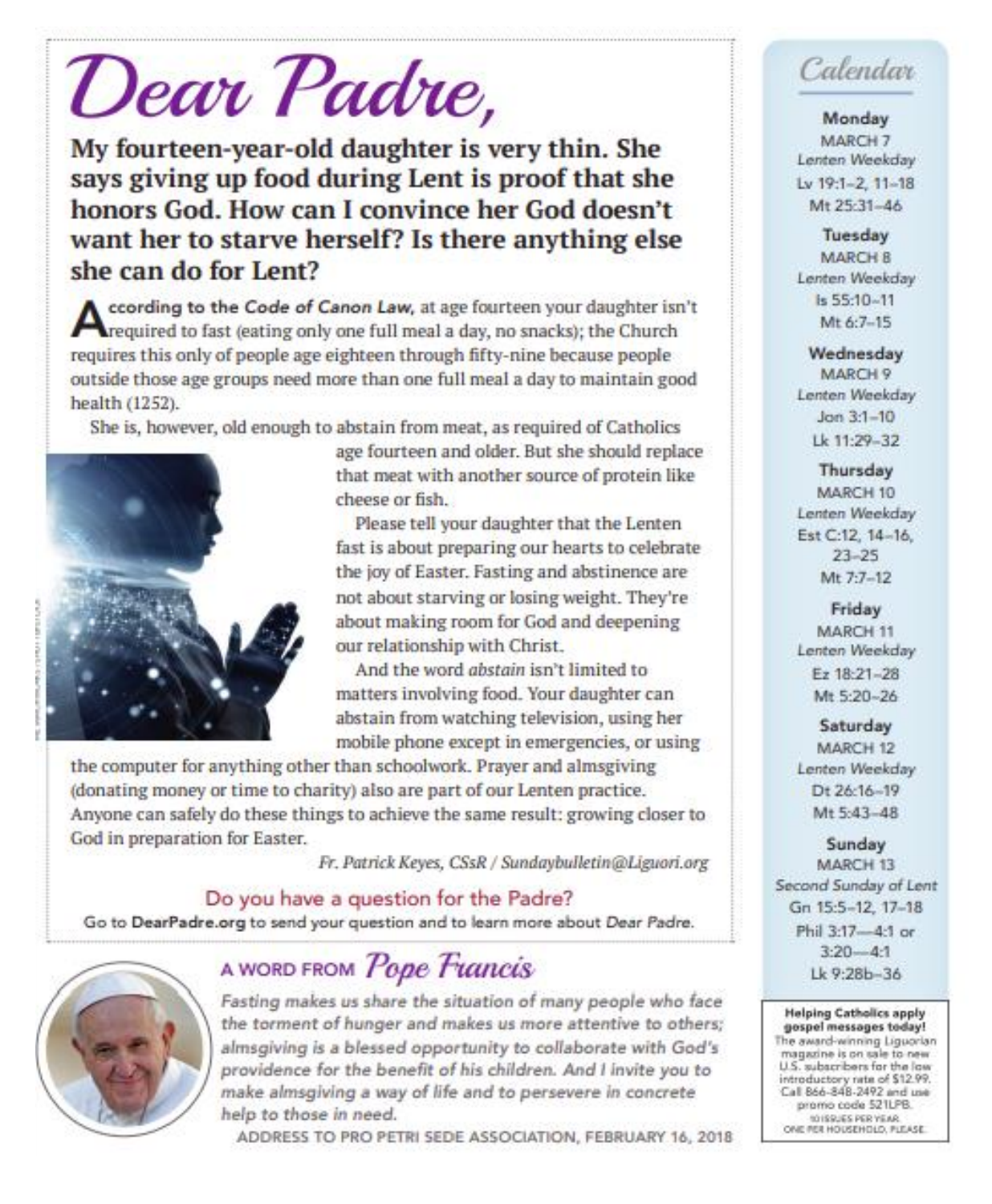# Dear Padre,

My fourteen-year-old daughter is very thin. She says giving up food during Lent is proof that she honors God. How can I convince her God doesn't want her to starve herself? Is there anything else she can do for Lent?

ccording to the Code of Canon Law, at age fourteen your daughter isn't crequired to fast (eating only one full meal a day, no snacks); the Church requires this only of people age eighteen through fifty-nine because people outside those age groups need more than one full meal a day to maintain good health (1252).

She is, however, old enough to abstain from meat, as required of Catholics



age fourteen and older. But she should replace that meat with another source of protein like cheese or fish.

Please tell your daughter that the Lenten fast is about preparing our hearts to celebrate the joy of Easter. Fasting and abstinence are not about starving or losing weight. They're about making room for God and deepening our relationship with Christ.

And the word abstain isn't limited to matters involving food. Your daughter can abstain from watching television, using her mobile phone except in emergencies, or using

the computer for anything other than schoolwork. Prayer and almsgiving (donating money or time to charity) also are part of our Lenten practice. Anyone can safely do these things to achieve the same result: growing closer to God in preparation for Easter.

Fr. Patrick Keyes, CSsR / Sundaybulletin@Liguori.org

Do you have a question for the Padre? Go to DearPadre.org to send your question and to learn more about Dear Padre.



## A WORD FROM Pope Francis

Fasting makes us share the situation of many people who face the torment of hunger and makes us more attentive to others; almsgiving is a blessed opportunity to collaborate with God's providence for the benefit of his children. And I invite you to make almsgiving a way of life and to persevere in concrete help to those in need.

ADDRESS TO PRO PETRI SEDE ASSOCIATION, FEBRUARY 16, 2018

## Calendar

Monday MARCH 7 Lenten Weekday Lv 19:1-2, 11-18 Mt 25:31-46

Tuesday **MARCH B** Lenten Weekday is 55:10-11 Mt 6:7-15

Wednesday MARCH 9 Lenten Weekday  $Jon 3:1 - 10$ Lk 11:29-32

Thursday MARCH 10 Lenten Weekday Est C:12, 14-16,  $23 - 25$ Mt 7:7-12

Friday MARCH 11 Lenten Weekday Ez 18:21-28 Mt 5:20-26

Saturday MARCH 12 Lenten Weekday Dt 26:16-19 Mt 5:43-48

Sunday MARCH 13 Second Sunday of Lent Gn 15:5-12, 17-18 Phil 3:17-4:1 or  $3:20 - 41$ Lk 9:28b-36

**Helping Catholics apply** gospel messages today! The award-winning Liguorian magazine is on sale to new U.S. subscribers for the low introductory rate of \$12.99. Call 866-848-2492 and use promo code 521LPB. 10159JES PER YEAR.<br>ONE FER HOUSEHOLD, FLEASE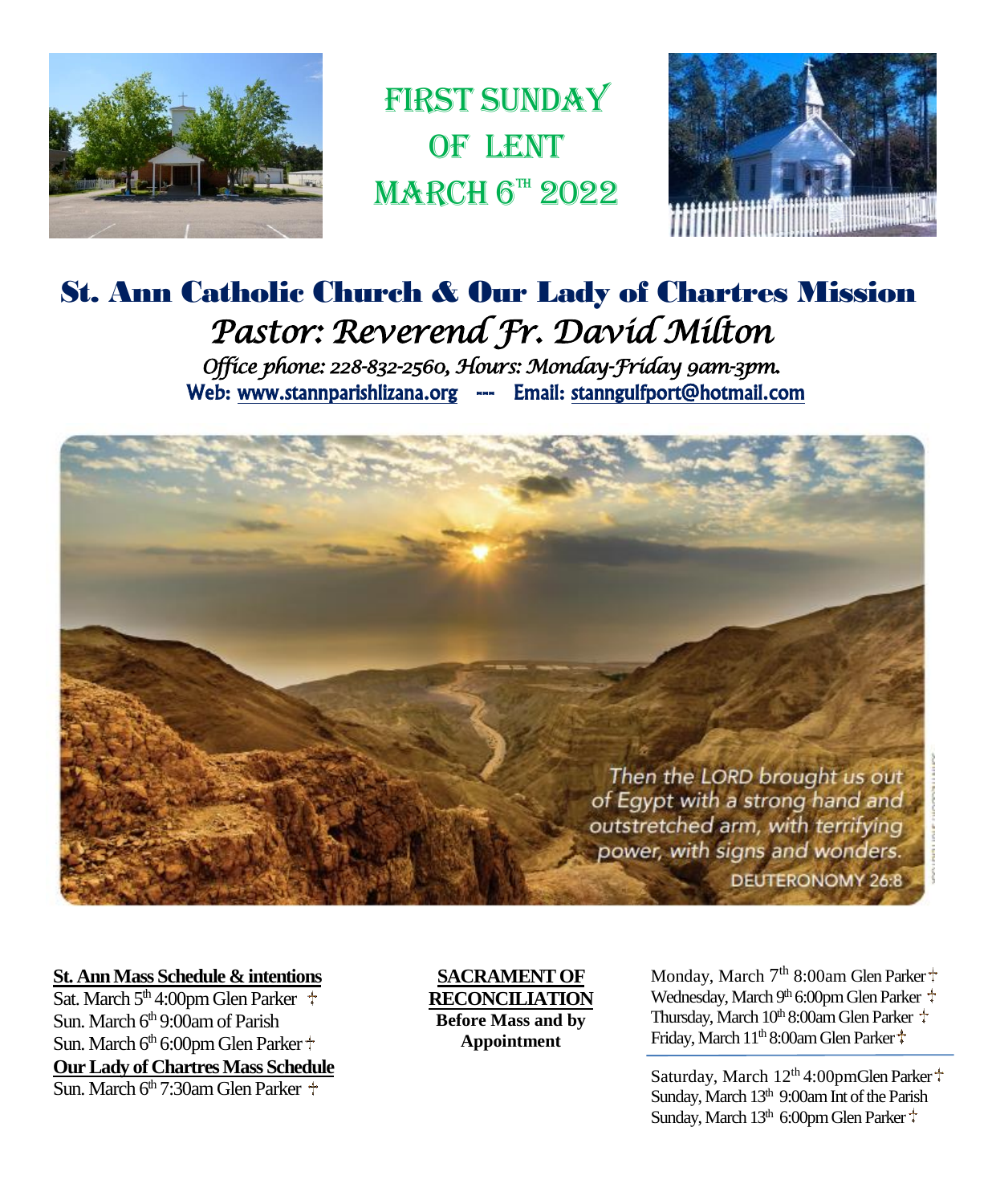

FIRST SUNDAY OF LENT  $MARCH$  6<sup>th</sup> 2022



## St. Ann Catholic Church & Our Lady of Chartres Mission *Pastor: Reverend Fr. David Milton Office phone: 228-832-2560, Hours: Monday-Friday 9am-3pm.*  Web: www.stannparishlizana.org --- Email: stanngulfport@hotmail.com



#### **St. Ann Mass Schedule & intentions**

Sat. March  $5<sup>th</sup>$  4:00pm Glen Parker  $\pm$ Sun. March 6<sup>th</sup> 9:00am of Parish Sun. March 6<sup>th</sup> 6:00pm Glen Parker <sup>+</sup> **Our Lady of Chartres Mass Schedule**  $\overline{\text{Sun}}$  March 6<sup>th</sup> 7:30am Glen Parker  $\pm$ 

**SACRAMENT OF RECONCILIATION Before Mass and by Appointment**

Monday, March 7<sup>th</sup> 8:00am Glen Parker Wednesday, March 9<sup>th</sup> 6:00pm Glen Parker March 10th 8:00am Glen Parker Thursday, March 10th 8:00am Glen Parker Friday, March 11<sup>th</sup> 8:00am Glen Parker

Saturday, March 12<sup>th</sup> 4:00pmGlen Parker<sup>+</sup> Sunday, March 13<sup>th</sup> 9:00am Int of the Parish Sunday, March 13<sup>th</sup> 6:00pm Glen Parker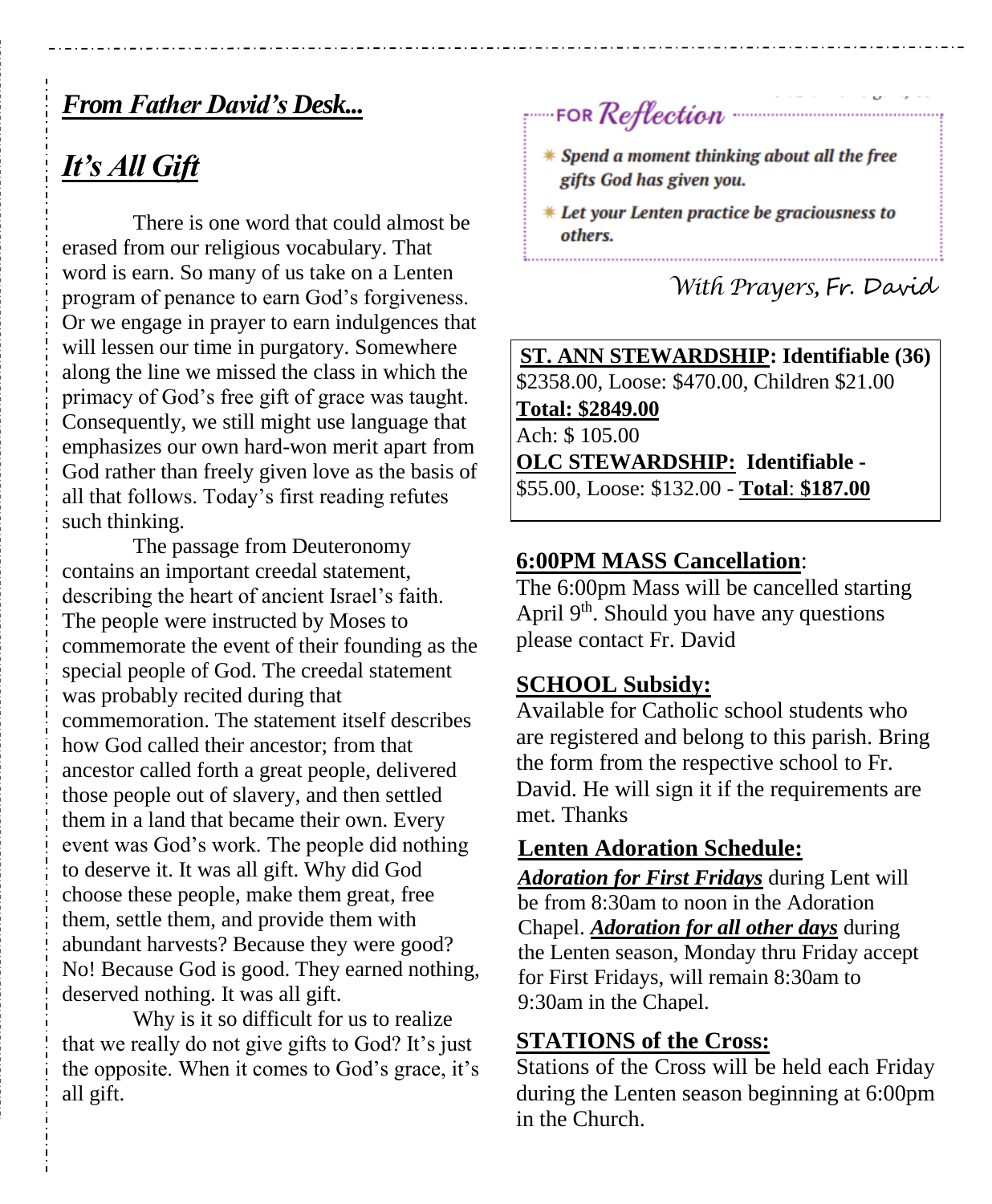## *From Father David's Desk...*

## *It's All Gift*

There is one word that could almost be erased from our religious vocabulary. That word is earn. So many of us take on a Lenten program of penance to earn God's forgiveness. Or we engage in prayer to earn indulgences that will lessen our time in purgatory. Somewhere along the line we missed the class in which the primacy of God's free gift of grace was taught. Consequently, we still might use language that emphasizes our own hard-won merit apart from God rather than freely given love as the basis of all that follows. Today's first reading refutes such thinking.

The passage from Deuteronomy contains an important creedal statement, describing the heart of ancient Israel's faith. The people were instructed by Moses to commemorate the event of their founding as the special people of God. The creedal statement was probably recited during that commemoration. The statement itself describes how God called their ancestor; from that ancestor called forth a great people, delivered those people out of slavery, and then settled them in a land that became their own. Every event was God's work. The people did nothing to deserve it. It was all gift. Why did God choose these people, make them great, free them, settle them, and provide them with abundant harvests? Because they were good? No! Because God is good. They earned nothing, deserved nothing. It was all gift.

Why is it so difficult for us to realize that we really do not give gifts to God? It's just the opposite. When it comes to God's grace, it's all gift.

FOR Reflection

- \* Spend a moment thinking about all the free gifts God has given you.
- \* Let your Lenten practice be graciousness to others.

 *With Prayers,* Fr. David

**ST. ANN STEWARDSHIP: Identifiable (36)** \$2358.00, Loose: \$470.00, Children \$21.00 **Total: \$2849.00** Ach: \$ 105.00 **OLC STEWARDSHIP: Identifiable -** \$55.00, Loose: \$132.00 - **Total**: **\$187.00**

#### **6:00PM MASS Cancellation**:

The 6:00pm Mass will be cancelled starting April  $9<sup>th</sup>$ . Should you have any questions please contact Fr. David

#### **SCHOOL Subsidy:**

Available for Catholic school students who are registered and belong to this parish. Bring the form from the respective school to Fr. David. He will sign it if the requirements are met. Thanks

#### **Lenten Adoration Schedule:**

*Adoration for First Fridays* during Lent will be from 8:30am to noon in the Adoration Chapel. *Adoration for all other days* during the Lenten season, Monday thru Friday accept for First Fridays, will remain 8:30am to 9:30am in the Chapel.

#### **STATIONS of the Cross:**

Stations of the Cross will be held each Friday during the Lenten season beginning at 6:00pm in the Church.